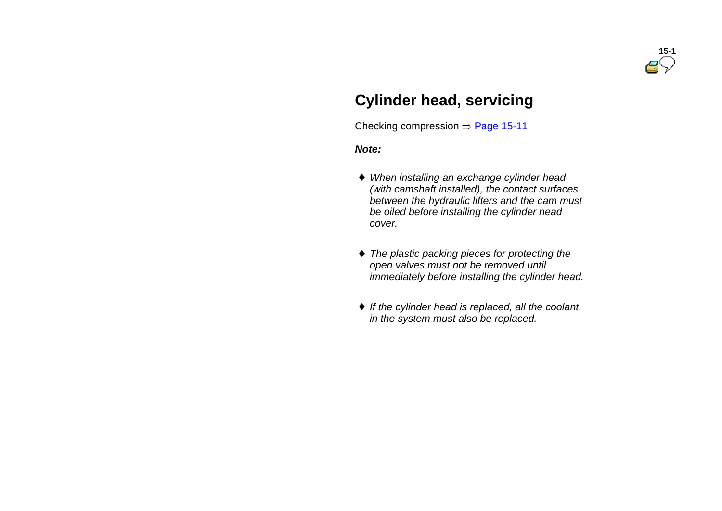# **Cylinder head, servicing**

Checking compression  $\Rightarrow$  Page 15-11

#### *Note:*

- *When installing an exchange cylinder head (with camshaft installed), the contact surfaces between the hydraulic lifters and the cam must be oiled before installing the cylinder head cover.*
- *The plastic packing pieces for protecting the open valves must not be removed until immediately before installing the cylinder head.*
- *If the cylinder head is replaced, all the coolant in the system must also be replaced.*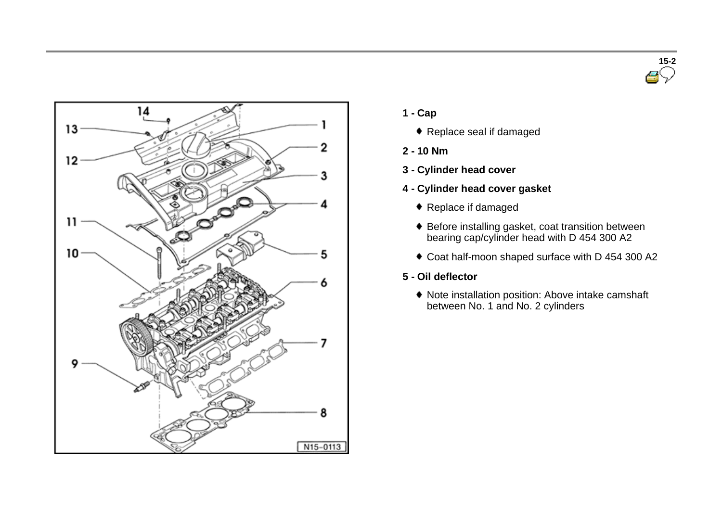



- **1 - Cap**
	- ◆ Replace seal if damaged
- **2 - 10 Nm**
- **3 - Cylinder head cover**
- **4 - Cylinder head cover gasket**
	- Replace if damaged
	- Before installing gasket, coat transition between bearing cap/cylinder head with D 454 300 A2
	- Coat half-moon shaped surface with D 454 300 A2
- **5 - Oil deflector**
	- Note installation position: Above intake camshaft between No. 1 and No. 2 cylinders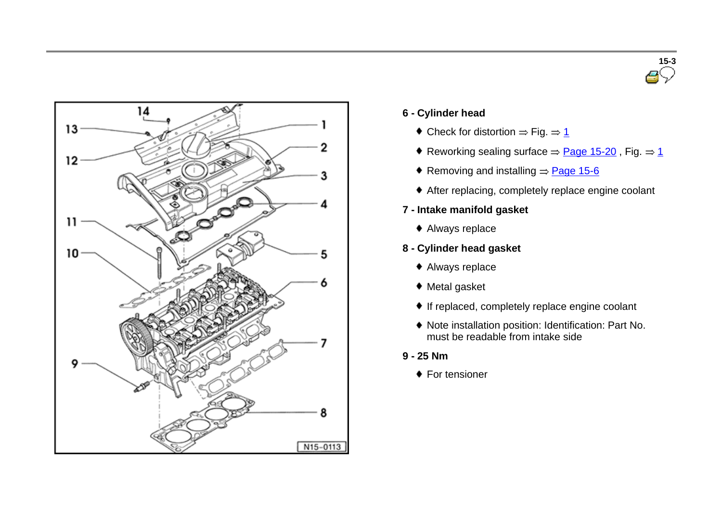



- **6 - Cylinder head**
	- $\bullet$  Check for distortion  $\Rightarrow$  Fig.  $\Rightarrow$  1
	- Reworking sealing surface  $\Rightarrow$  Page 15-20, Fig.  $\Rightarrow$  1
	- Removing and installing  $\Rightarrow$  Page 15-6
	- After replacing, completely replace engine coolant
- **7 - Intake manifold gasket**
	- ◆ Always replace
- **8 - Cylinder head gasket**
	- Always replace
	- ◆ Metal gasket
	- If replaced, completely replace engine coolant
	- Note installation position: Identification: Part No. must be readable from intake side
- **9 - 25 Nm**
	- ◆ For tensioner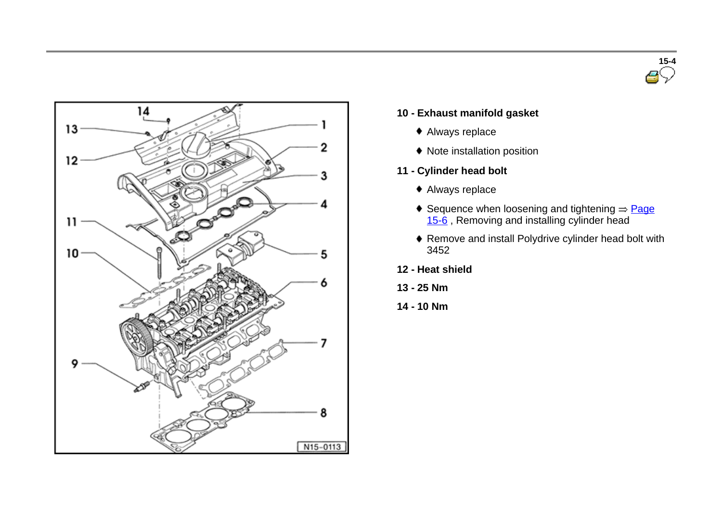



## **10 - Exhaust manifold gasket**

- Always replace
- Note installation position
- **11 - Cylinder head bolt**
	- Always replace
	- Sequence when loosening and tightening  $\Rightarrow$  Page 15-6, Removing and installing cylinder head
	- Remove and install Polydrive cylinder head bolt with 3452
- **12 - Heat shield**
- **13 - 25 Nm**
- **14 - 10 Nm**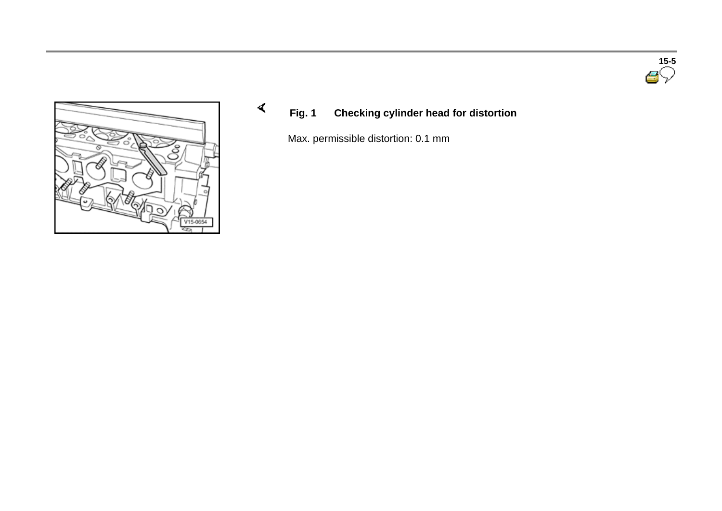



# **Fig. 1 Checking cylinder head for distortion**

Max. permissible distortion: 0.1 mm

 $\blacktriangleleft$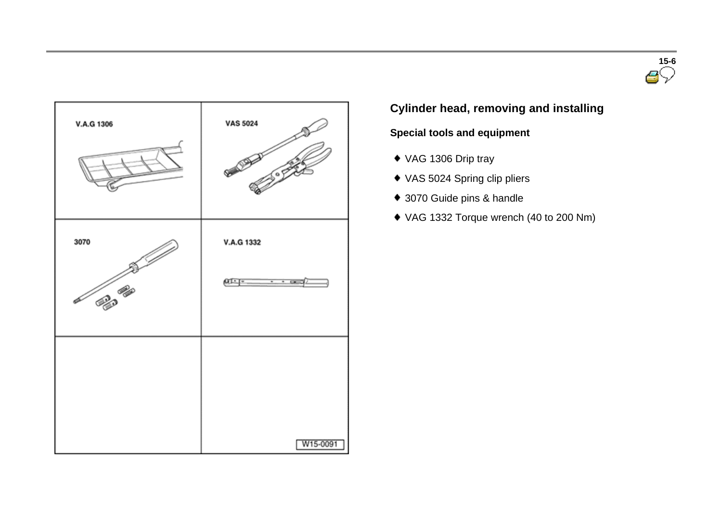



# **Cylinder head, removing and installing**

# **Special tools and equipment**

- VAG 1306 Drip tray
- VAS 5024 Spring clip pliers
- 3070 Guide pins & handle
- VAG 1332 Torque wrench (40 to 200 Nm)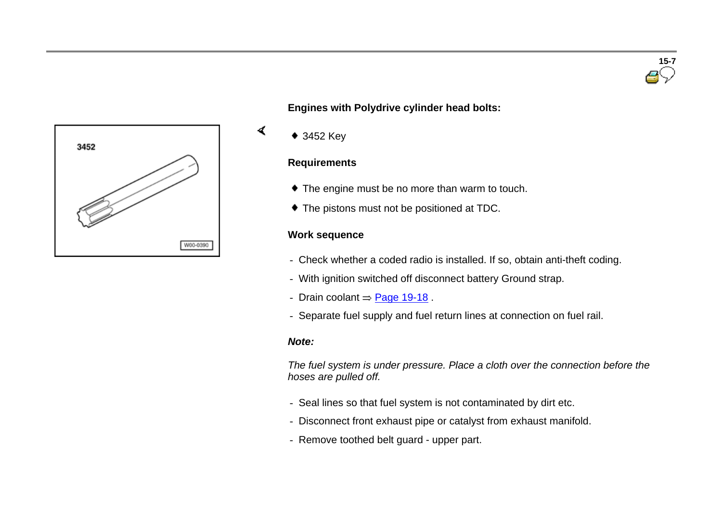

**Engines with Polydrive cylinder head bolts:**

◆ 3452 Key

 $\blacktriangleleft$ 

#### **Requirements**

- $\bullet$  The engine must be no more than warm to touch.
- $\bullet$  The pistons must not be positioned at TDC.

## **Work sequence**

- Check whether a coded radio is installed. If so, obtain anti-theft coding.
- With ignition switched off disconnect battery Ground strap.
- Drain coolant  $=$  Page 19-18.
- Separate fuel supply and fuel return lines at connection on fuel rail.

#### *Note:*

*The fuel system is under pressure. Place a cloth over the connection before the hoses are pulled off.*

- Seal lines so that fuel system is not contaminated by dirt etc.
- Disconnect front exhaust pipe or catalyst from exhaust manifold.
- Remove toothed belt guard upper part.

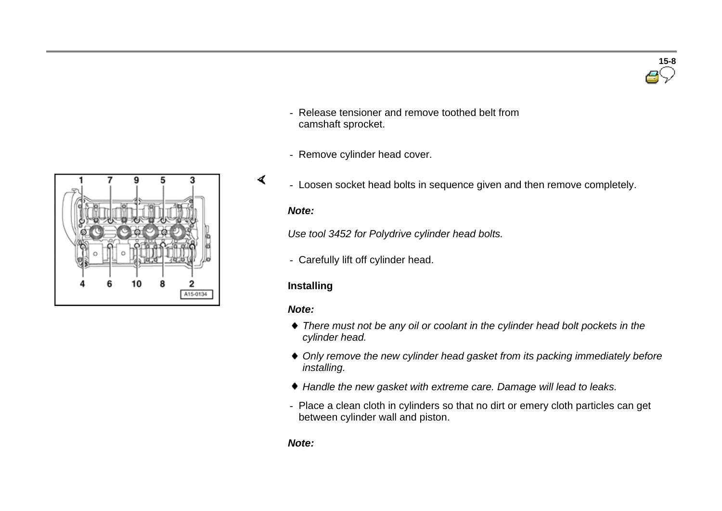

- Release tensioner and remove toothed belt from camshaft sprocket.
- Remove cylinder head cover.



- Loosen socket head bolts in sequence given and then remove completely.

#### *Note:*

 $\blacktriangleleft$ 

*Use tool 3452 for Polydrive cylinder head bolts.*

- Carefully lift off cylinder head.

## **Installing**

#### *Note:*

- *There must not be any oil or coolant in the cylinder head bolt pockets in the cylinder head.*
- *Only remove the new cylinder head gasket from its packing immediately before installing.*
- *Handle the new gasket with extreme care. Damage will lead to leaks.*
- Place a clean cloth in cylinders so that no dirt or emery cloth particles can get between cylinder wall and piston.

#### *Note:*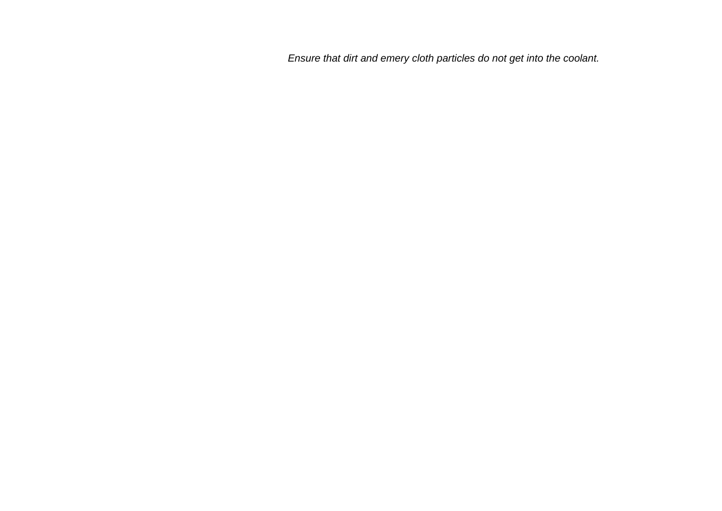*Ensure that dirt and emery cloth particles do not get into the coolant.*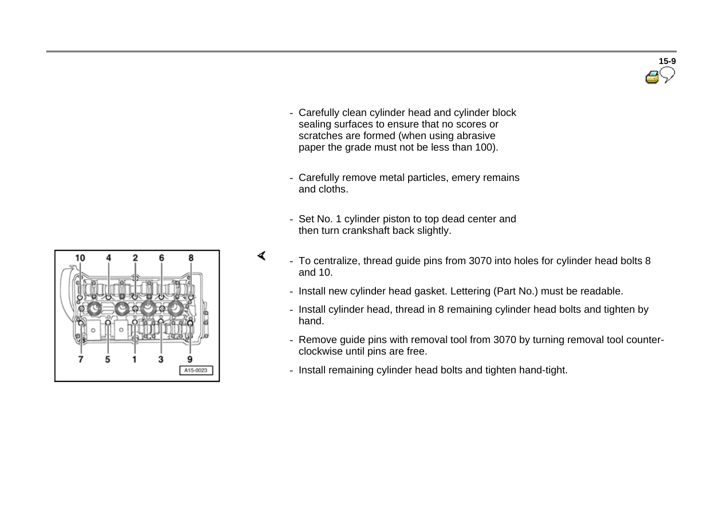

- Carefully clean cylinder head and cylinder block sealing surfaces to ensure that no scores or scratches are formed (when using abrasive paper the grade must not be less than 100).
- Carefully remove metal particles, emery remains and cloths.
- Set No. 1 cylinder piston to top dead center and then turn crankshaft back slightly.
- To centralize, thread guide pins from 3070 into holes for cylinder head bolts 8 and 10.
- Install new cylinder head gasket. Lettering (Part No.) must be readable.
- Install cylinder head, thread in 8 remaining cylinder head bolts and tighten by hand.
- Remove guide pins with removal tool from 3070 by turning removal tool counterclockwise until pins are free.
- Install remaining cylinder head bolts and tighten hand-tight.



 $\blacktriangleleft$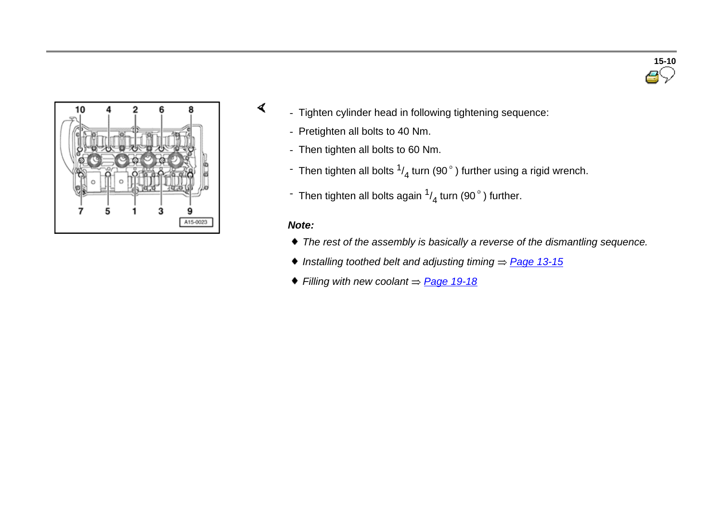



- Tighten cylinder head in following tightening sequence:
	- Pretighten all bolts to 40 Nm.
	- Then tighten all bolts to 60 Nm.
	- $\,$  Then tighten all bolts  $^{1/}_{4}$  turn (90  $^{\circ}$  ) further using a rigid wrench.
	- $\,$  Then tighten all bolts again  $\frac{1}{4}$  turn (90  $^\circ$  ) further.

## *Note:*

 $\blacktriangleleft$ 

- *The rest of the assembly is basically a reverse of the dismantling sequence.*
- ◆ *Installing toothed belt and adjusting timing ⇒ Page 13-15*
- $\blacklozenge$  *Filling* with new coolant  $\Rightarrow$  **Page 19-18**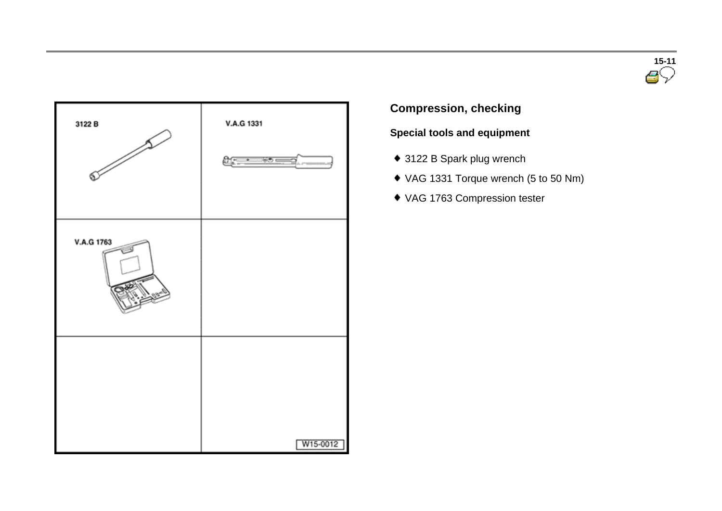



# **Compression, checking**

# **Special tools and equipment**

- ◆ 3122 B Spark plug wrench
- VAG 1331 Torque wrench (5 to 50 Nm)
- VAG 1763 Compression tester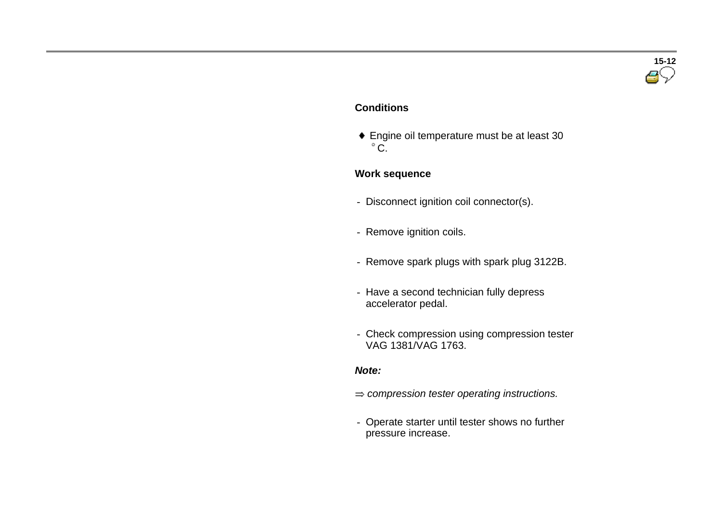# **15-12**

## **Conditions**

 Engine oil temperature must be at least 30  $^{\circ}$  C.

## **Work sequence**

- Disconnect ignition coil connector(s).
- Remove ignition coils.
- Remove spark plugs with spark plug 3122B.
- Have a second technician fully depress accelerator pedal.
- Check compression using compression tester VAG 1381/VAG 1763.

## *Note:*

- *compression tester operating instructions.*
- Operate starter until tester shows no further pressure increase.